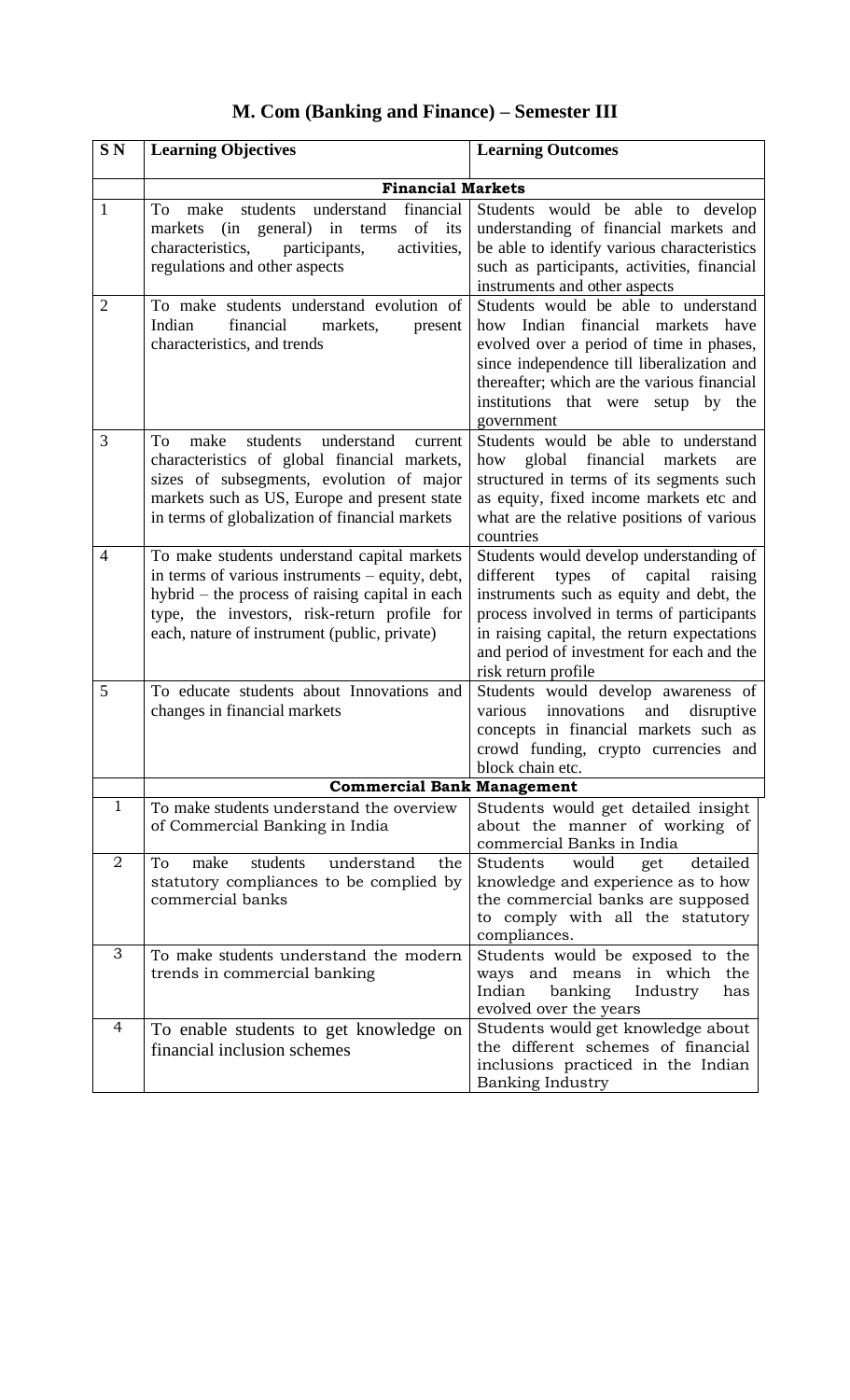## **S N Learning Objectives Learning Outcomes Financial Markets** 1 To make students understand financial markets (in general) in terms of its characteristics, participants, activities, regulations and other aspects Students would be able to develop understanding of financial markets and be able to identify various characteristics such as participants, activities, financial instruments and other aspects 2 To make students understand evolution of Indian financial markets, present characteristics, and trends Students would be able to understand how Indian financial markets have evolved over a period of time in phases, since independence till liberalization and thereafter; which are the various financial institutions that were setup by the government 3 To make students understand current characteristics of global financial markets, sizes of subsegments, evolution of major markets such as US, Europe and present state in terms of globalization of financial markets Students would be able to understand how global financial markets are structured in terms of its segments such as equity, fixed income markets etc and what are the relative positions of various countries 4 To make students understand capital markets in terms of various instruments – equity, debt, hybrid – the process of raising capital in each type, the investors, risk-return profile for each, nature of instrument (public, private) Students would develop understanding of different types of capital raising instruments such as equity and debt, the process involved in terms of participants in raising capital, the return expectations and period of investment for each and the risk return profile 5 To educate students about Innovations and changes in financial markets Students would develop awareness of various innovations and disruptive concepts in financial markets such as crowd funding, crypto currencies and block chain etc. **Commercial Bank Management** 1 To make students understand the overview of Commercial Banking in India Students would get detailed insight about the manner of working of commercial Banks in India 2 To make students understand the statutory compliances to be complied by commercial banks Students would get detailed knowledge and experience as to how the commercial banks are supposed to comply with all the statutory compliances. 3 To make students understand the modern trends in commercial banking Students would be exposed to the ways and means in which the Indian banking Industry has evolved over the years 4 To enable students to get knowledge on financial inclusion schemes Students would get knowledge about the different schemes of financial inclusions practiced in the Indian Banking Industry

## **M. Com (Banking and Finance) – Semester III**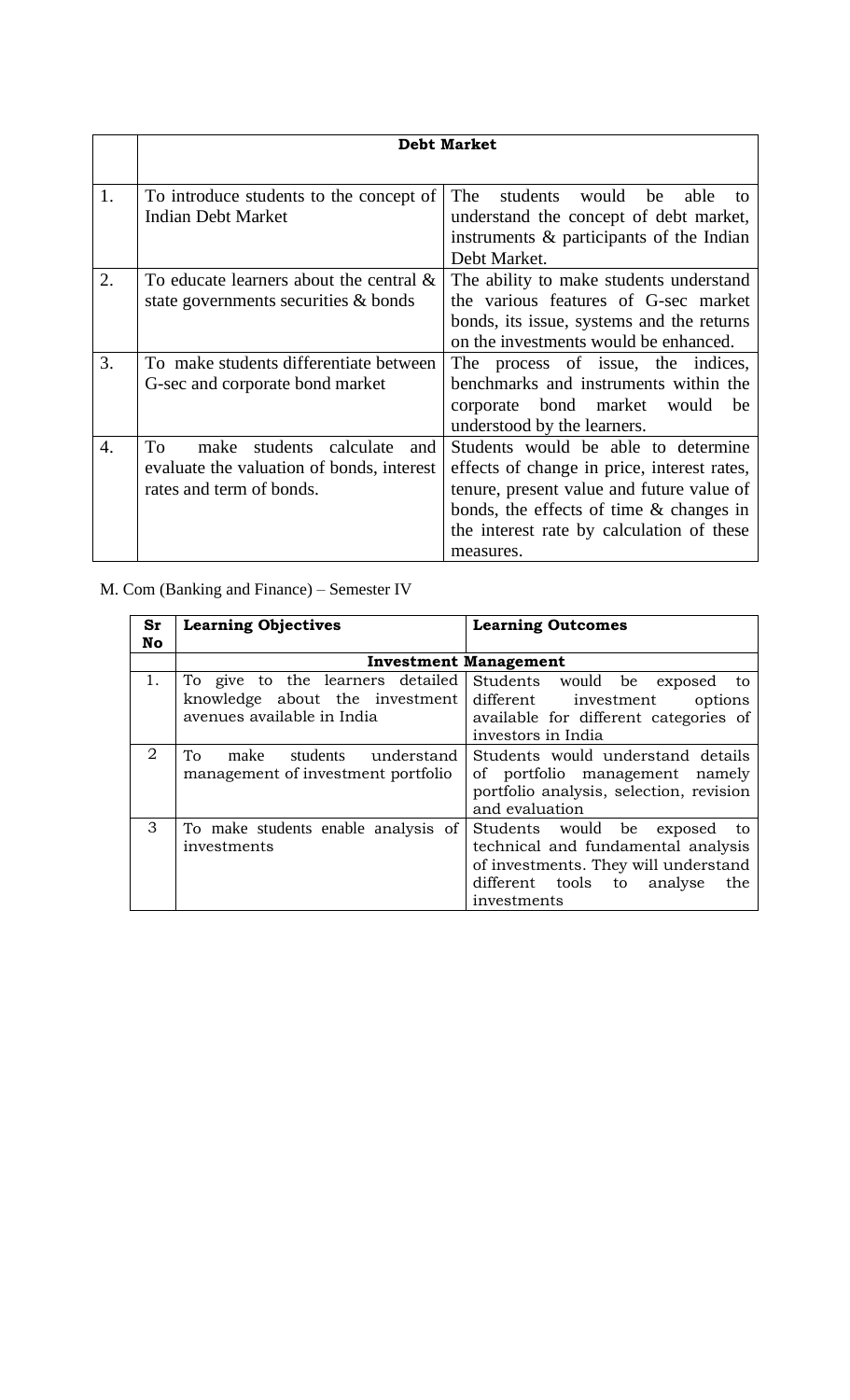|                  | <b>Debt Market</b>                         |                                             |
|------------------|--------------------------------------------|---------------------------------------------|
|                  |                                            |                                             |
| 1.               | To introduce students to the concept of    | students<br>The<br>would be<br>able<br>to   |
|                  | <b>Indian Debt Market</b>                  | understand the concept of debt market,      |
|                  |                                            | instruments $\&$ participants of the Indian |
|                  |                                            | Debt Market.                                |
| 2.               | To educate learners about the central $\&$ | The ability to make students understand     |
|                  | state governments securities & bonds       | the various features of G-sec market        |
|                  |                                            | bonds, its issue, systems and the returns   |
|                  |                                            | on the investments would be enhanced.       |
| 3.               | To make students differentiate between     | The process of issue, the indices,          |
|                  | G-sec and corporate bond market            | benchmarks and instruments within the       |
|                  |                                            | corporate bond market would<br>be           |
|                  |                                            | understood by the learners.                 |
| $\overline{4}$ . | To<br>students calculate<br>make<br>and    | Students would be able to determine         |
|                  | evaluate the valuation of bonds, interest  | effects of change in price, interest rates, |
|                  | rates and term of bonds.                   | tenure, present value and future value of   |
|                  |                                            | bonds, the effects of time & changes in     |
|                  |                                            | the interest rate by calculation of these   |
|                  |                                            | measures.                                   |

## M. Com (Banking and Finance) – Semester IV

| Sr | <b>Learning Objectives</b>                                                 | <b>Learning Outcomes</b>                                                                                                                                                 |
|----|----------------------------------------------------------------------------|--------------------------------------------------------------------------------------------------------------------------------------------------------------------------|
| No |                                                                            |                                                                                                                                                                          |
|    |                                                                            | <b>Investment Management</b>                                                                                                                                             |
| 1. | To give to the learners detailed                                           | Students would be exposed to                                                                                                                                             |
|    | knowledge about the investment                                             | different<br>investment<br>options                                                                                                                                       |
|    | avenues available in India                                                 | available for different categories of                                                                                                                                    |
|    |                                                                            | investors in India                                                                                                                                                       |
| 2  | students<br>To<br>make<br>understand<br>management of investment portfolio | Students would understand details<br>of portfolio management namely<br>portfolio analysis, selection, revision<br>and evaluation                                         |
| 3  | To make students enable analysis of<br>investments                         | Students would be<br>exposed<br>to.<br>technical and fundamental analysis<br>of investments. They will understand<br>different tools to<br>analyse<br>the<br>investments |